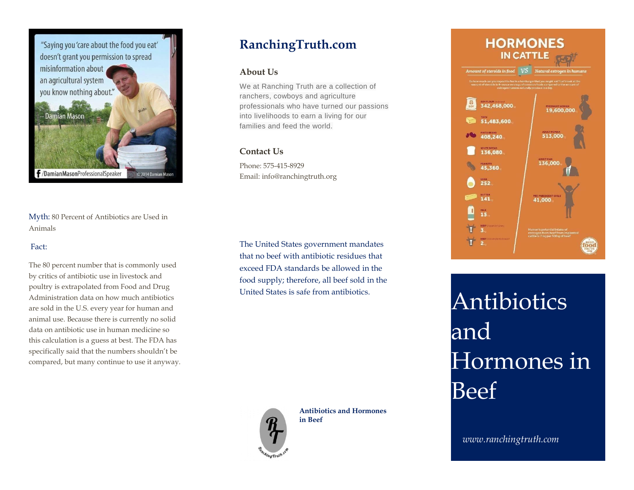

Myth: 80 Percent of Antibiotics are Used in Animals

### Fact:

The 80 percent number that is commonly used by critics of antibiotic use in livestock and poultry is extrapolated from Food and Drug Administration data on how much antibiotics are sold in the U.S. every year for human and animal use. Because there is currently no solid data on antibiotic use in human medicine so this calculation is a guess at best. The FDA has specifically said that the numbers shouldn't be compared, but many continue to use it anyway.

# **RanchingTruth.com**

## **About Us**

We at Ranching Truth are a collection of ranchers, cowboys and agriculture professionals who have turned our passions into livelihoods to earn a living for our families and feed the world.

## **Contact Us**

Phone: 575-415-8929 Email: info@ranchingtruth.org

The United States government mandates that no beef with antibiotic residues that exceed FDA standards be allowed in the food supply; therefore, all beef sold in the United States is safe from antibiotics.



**Antibiotics and Hormones in Beef**



Antibiotics and Hormones in Beef

*www.ranchingtruth.com*